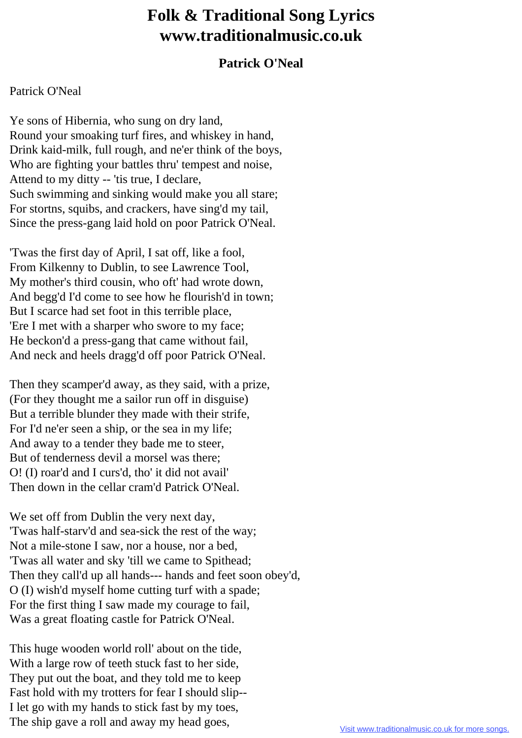## **Folk & Traditional Song Lyrics www.traditionalmusic.co.uk**

## **Patrick O'Neal**

## Patrick O'Neal

Ye sons of Hibernia, who sung on dry land, Round your smoaking turf fires, and whiskey in hand, Drink kaid-milk, full rough, and ne'er think of the boys, Who are fighting your battles thru' tempest and noise, Attend to my ditty -- 'tis true, I declare, Such swimming and sinking would make you all stare; For stortns, squibs, and crackers, have sing'd my tail, Since the press-gang laid hold on poor Patrick O'Neal.

'Twas the first day of April, I sat off, like a fool, From Kilkenny to Dublin, to see Lawrence Tool, My mother's third cousin, who oft' had wrote down, And begg'd I'd come to see how he flourish'd in town; But I scarce had set foot in this terrible place, 'Ere I met with a sharper who swore to my face; He beckon'd a press-gang that came without fail, And neck and heels dragg'd off poor Patrick O'Neal.

Then they scamper'd away, as they said, with a prize, (For they thought me a sailor run off in disguise) But a terrible blunder they made with their strife, For I'd ne'er seen a ship, or the sea in my life; And away to a tender they bade me to steer, But of tenderness devil a morsel was there; O! (I) roar'd and I curs'd, tho' it did not avail' Then down in the cellar cram'd Patrick O'Neal.

We set off from Dublin the very next day, 'Twas half-starv'd and sea-sick the rest of the way; Not a mile-stone I saw, nor a house, nor a bed, 'Twas all water and sky 'till we came to Spithead; Then they call'd up all hands--- hands and feet soon obey'd, O (I) wish'd myself home cutting turf with a spade; For the first thing I saw made my courage to fail, Was a great floating castle for Patrick O'Neal.

This huge wooden world roll' about on the tide, With a large row of teeth stuck fast to her side, They put out the boat, and they told me to keep Fast hold with my trotters for fear I should slip-- I let go with my hands to stick fast by my toes, The ship gave a roll and away my head goes,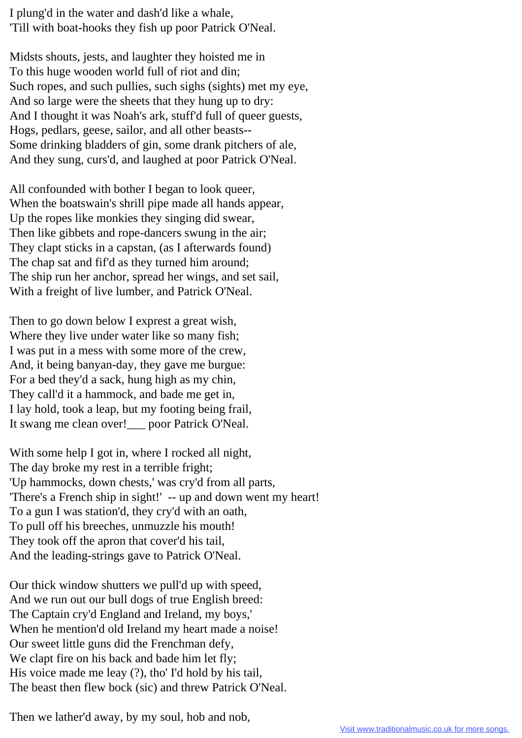I plung'd in the water and dash'd like a whale, 'Till with boat-hooks they fish up poor Patrick O'Neal.

Midsts shouts, jests, and laughter they hoisted me in To this huge wooden world full of riot and din; Such ropes, and such pullies, such sighs (sights) met my eye, And so large were the sheets that they hung up to dry: And I thought it was Noah's ark, stuff'd full of queer guests, Hogs, pedlars, geese, sailor, and all other beasts-- Some drinking bladders of gin, some drank pitchers of ale, And they sung, curs'd, and laughed at poor Patrick O'Neal.

All confounded with bother I began to look queer, When the boatswain's shrill pipe made all hands appear, Up the ropes like monkies they singing did swear, Then like gibbets and rope-dancers swung in the air; They clapt sticks in a capstan, (as I afterwards found) The chap sat and fif'd as they turned him around; The ship run her anchor, spread her wings, and set sail, With a freight of live lumber, and Patrick O'Neal.

Then to go down below I exprest a great wish, Where they live under water like so many fish; I was put in a mess with some more of the crew, And, it being banyan-day, they gave me burgue: For a bed they'd a sack, hung high as my chin, They call'd it a hammock, and bade me get in, I lay hold, took a leap, but my footing being frail, It swang me clean over!\_\_\_ poor Patrick O'Neal.

With some help I got in, where I rocked all night, The day broke my rest in a terrible fright; 'Up hammocks, down chests,' was cry'd from all parts, 'There's a French ship in sight!' -- up and down went my heart! To a gun I was station'd, they cry'd with an oath, To pull off his breeches, unmuzzle his mouth! They took off the apron that cover'd his tail, And the leading-strings gave to Patrick O'Neal.

Our thick window shutters we pull'd up with speed, And we run out our bull dogs of true English breed: The Captain cry'd England and Ireland, my boys,' When he mention'd old Ireland my heart made a noise! Our sweet little guns did the Frenchman defy, We clapt fire on his back and bade him let fly; His voice made me leay (?), tho' I'd hold by his tail, The beast then flew bock (sic) and threw Patrick O'Neal.

Then we lather'd away, by my soul, hob and nob,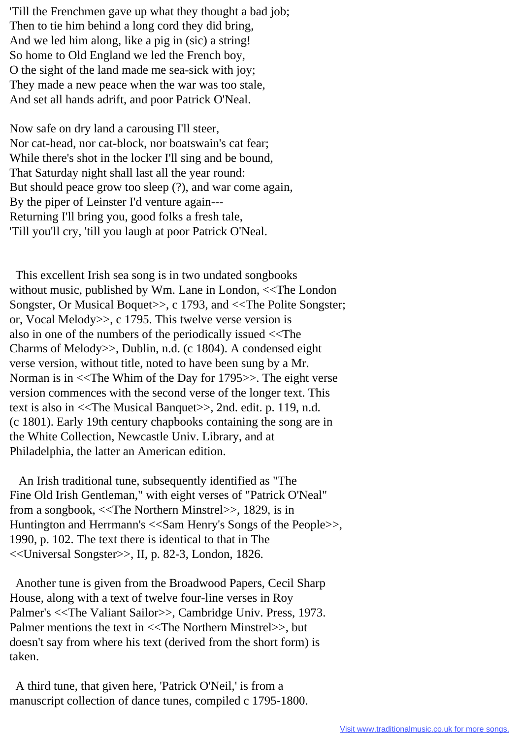'Till the Frenchmen gave up what they thought a bad job; Then to tie him behind a long cord they did bring, And we led him along, like a pig in (sic) a string! So home to Old England we led the French boy, O the sight of the land made me sea-sick with joy; They made a new peace when the war was too stale, And set all hands adrift, and poor Patrick O'Neal.

Now safe on dry land a carousing I'll steer, Nor cat-head, nor cat-block, nor boatswain's cat fear; While there's shot in the locker I'll sing and be bound, That Saturday night shall last all the year round: But should peace grow too sleep (?), and war come again, By the piper of Leinster I'd venture again--- Returning I'll bring you, good folks a fresh tale, 'Till you'll cry, 'till you laugh at poor Patrick O'Neal.

 This excellent Irish sea song is in two undated songbooks without music, published by Wm. Lane in London, <<The London Songster, Or Musical Boquet>>, c 1793, and <<The Polite Songster; or, Vocal Melody>>, c 1795. This twelve verse version is also in one of the numbers of the periodically issued <<The Charms of Melody>>, Dublin, n.d. (c 1804). A condensed eight verse version, without title, noted to have been sung by a Mr. Norman is in <<The Whim of the Day for 1795>>. The eight verse version commences with the second verse of the longer text. This text is also in <<The Musical Banquet>>, 2nd. edit. p. 119, n.d. (c 1801). Early 19th century chapbooks containing the song are in the White Collection, Newcastle Univ. Library, and at Philadelphia, the latter an American edition.

 An Irish traditional tune, subsequently identified as "The Fine Old Irish Gentleman," with eight verses of "Patrick O'Neal" from a songbook, <<The Northern Minstrel>>, 1829, is in Huntington and Herrmann's <<Sam Henry's Songs of the People>>, 1990, p. 102. The text there is identical to that in The <<Universal Songster>>, II, p. 82-3, London, 1826.

 Another tune is given from the Broadwood Papers, Cecil Sharp House, along with a text of twelve four-line verses in Roy Palmer's <<The Valiant Sailor>>, Cambridge Univ. Press, 1973. Palmer mentions the text in <<The Northern Minstrel>>, but doesn't say from where his text (derived from the short form) is taken.

 A third tune, that given here, 'Patrick O'Neil,' is from a manuscript collection of dance tunes, compiled c 1795-1800.